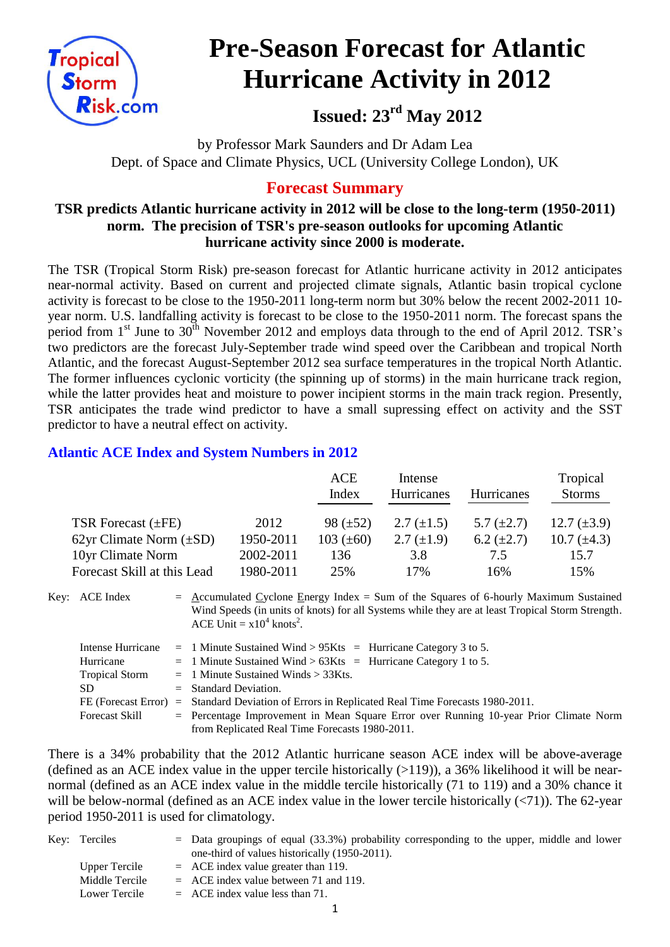

# **Pre-Season Forecast for Atlantic Hurricane Activity in 2012**

**Issued: 23rd May 2012**

by Professor Mark Saunders and Dr Adam Lea Dept. of Space and Climate Physics, UCL (University College London), UK

## **Forecast Summary**

### **TSR predicts Atlantic hurricane activity in 2012 will be close to the long-term (1950-2011) norm. The precision of TSR's pre-season outlooks for upcoming Atlantic hurricane activity since 2000 is moderate.**

The TSR (Tropical Storm Risk) pre-season forecast for Atlantic hurricane activity in 2012 anticipates near-normal activity. Based on current and projected climate signals, Atlantic basin tropical cyclone activity is forecast to be close to the 1950-2011 long-term norm but 30% below the recent 2002-2011 10 year norm. U.S. landfalling activity is forecast to be close to the 1950-2011 norm. The forecast spans the period from  $1<sup>st</sup>$  June to  $30<sup>th</sup>$  November 2012 and employs data through to the end of April 2012. TSR's two predictors are the forecast July-September trade wind speed over the Caribbean and tropical North Atlantic, and the forecast August-September 2012 sea surface temperatures in the tropical North Atlantic. The former influences cyclonic vorticity (the spinning up of storms) in the main hurricane track region, while the latter provides heat and moisture to power incipient storms in the main track region. Presently, TSR anticipates the trade wind predictor to have a small supressing effect on activity and the SST predictor to have a neutral effect on activity.

## **Atlantic ACE Index and System Numbers in 2012**

|                              |           | <b>ACE</b><br>Index | Intense<br><b>Hurricanes</b> | <b>Hurricanes</b> | Tropical<br><b>Storms</b> |
|------------------------------|-----------|---------------------|------------------------------|-------------------|---------------------------|
| TSR Forecast $(\pm FE)$      | 2012      | $98 (\pm 52)$       | $2.7 \ (\pm 1.5)$            | 5.7 $(\pm 2.7)$   | 12.7 $(\pm 3.9)$          |
| 62yr Climate Norm $(\pm SD)$ | 1950-2011 | 103 $(\pm 60)$      | $2.7 \ (\pm 1.9)$            | $6.2 \ (\pm 2.7)$ | 10.7 $(\pm 4.3)$          |
| 10yr Climate Norm            | 2002-2011 | 136                 | 3.8                          | 7.5               | 15.7                      |
| Forecast Skill at this Lead  | 1980-2011 | 25%                 | 17%                          | 16%               | 15%                       |

Key: ACE Index  $=$  Accumulated Cyclone Energy Index = Sum of the Squares of 6-hourly Maximum Sustained Wind Speeds (in units of knots) for all Systems while they are at least Tropical Storm Strength. ACE Unit =  $x10^4$  knots<sup>2</sup>.

|                       | Intense Hurricane $= 1$ Minute Sustained Wind > 95Kts $=$ Hurricane Category 3 to 5.            |
|-----------------------|-------------------------------------------------------------------------------------------------|
| Hurricane             | $=$ 1 Minute Sustained Wind > 63Kts = Hurricane Category 1 to 5.                                |
| <b>Tropical Storm</b> | $=$ 1 Minute Sustained Winds $>$ 33Kts.                                                         |
| SD.                   | $=$ Standard Deviation.                                                                         |
|                       | FE (Forecast Error) = Standard Deviation of Errors in Replicated Real Time Forecasts 1980-2011. |
| Forecast Skill        | $=$ Percentage Improvement in Mean Square Error over Running 10-year Prior Climate Norm         |
|                       | from Replicated Real Time Forecasts 1980-2011.                                                  |

There is a 34% probability that the 2012 Atlantic hurricane season ACE index will be above-average (defined as an ACE index value in the upper tercile historically  $(>119)$ ), a 36% likelihood it will be nearnormal (defined as an ACE index value in the middle tercile historically (71 to 119) and a 30% chance it will be below-normal (defined as an ACE index value in the lower tercile historically  $(\langle 71 \rangle)$ ). The 62-year period 1950-2011 is used for climatology.

| Key: Terciles  | $=$ Data groupings of equal (33.3%) probability corresponding to the upper, middle and lower |
|----------------|----------------------------------------------------------------------------------------------|
|                | one-third of values historically (1950-2011).                                                |
| Upper Tercile  | $=$ ACE index value greater than 119.                                                        |
| Middle Tercile | $=$ ACE index value between 71 and 119.                                                      |
| Lower Tercile  | $=$ ACE index value less than 71.                                                            |
|                |                                                                                              |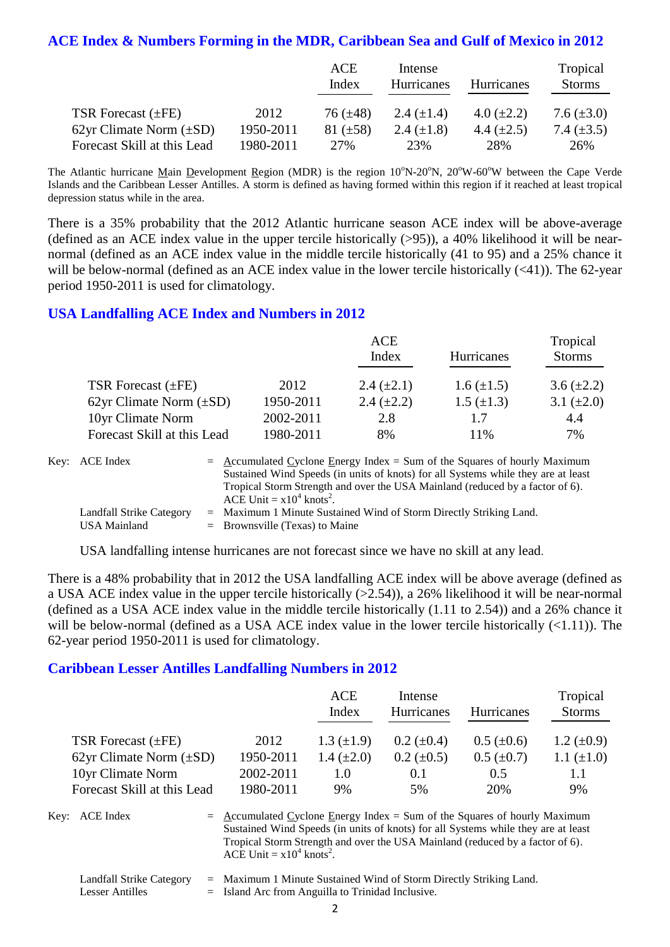## **ACE Index & Numbers Forming in the MDR, Caribbean Sea and Gulf of Mexico in 2012**

|                              |           | ACE<br>Index  | Intense<br>Hurricanes | <b>Hurricanes</b> | Tropical<br><b>Storms</b> |
|------------------------------|-----------|---------------|-----------------------|-------------------|---------------------------|
| TSR Forecast $(\pm FE)$      | 2012      | 76 $(\pm 48)$ | 2.4 $(\pm 1.4)$       | 4.0 $(\pm 2.2)$   | 7.6 $(\pm 3.0)$           |
| 62yr Climate Norm $(\pm SD)$ | 1950-2011 | 81 $(\pm 58)$ | 2.4 $(\pm 1.8)$       | 4.4 $(\pm 2.5)$   | 7.4 $(\pm 3.5)$           |
| Forecast Skill at this Lead  | 1980-2011 | 27%           | 23%                   | 28%               | 26%                       |

The Atlantic hurricane Main Development Region (MDR) is the region  $10^{\circ}N-20^{\circ}N$ ,  $20^{\circ}W-60^{\circ}W$  between the Cape Verde Islands and the Caribbean Lesser Antilles. A storm is defined as having formed within this region if it reached at least tropical depression status while in the area.

There is a 35% probability that the 2012 Atlantic hurricane season ACE index will be above-average (defined as an ACE index value in the upper tercile historically (>95)), a 40% likelihood it will be nearnormal (defined as an ACE index value in the middle tercile historically (41 to 95) and a 25% chance it will be below-normal (defined as an ACE index value in the lower tercile historically  $(\leq 41)$ ). The 62-year period 1950-2011 is used for climatology.

#### **USA Landfalling ACE Index and Numbers in 2012**

|                              |           | <b>ACE</b>        | Tropical          |                 |
|------------------------------|-----------|-------------------|-------------------|-----------------|
|                              |           | Index             | <b>Hurricanes</b> | <b>Storms</b>   |
| TSR Forecast $(\pm FE)$      | 2012      | 2.4 $(\pm 2.1)$   | $1.6 (\pm 1.5)$   | 3.6 $(\pm 2.2)$ |
| 62yr Climate Norm $(\pm SD)$ | 1950-2011 | $2.4 \ (\pm 2.2)$ | $1.5 \ (\pm 1.3)$ | 3.1 $(\pm 2.0)$ |
| 10yr Climate Norm            | 2002-2011 | 2.8               | 1.7               | 4.4             |
| Forecast Skill at this Lead  | 1980-2011 | 8%                | 11%               | 7%              |

| Key: ACE Index                           | $=$ Accumulated Cyclone Energy Index $=$ Sum of the Squares of hourly Maximum<br>Sustained Wind Speeds (in units of knots) for all Systems while they are at least<br>Tropical Storm Strength and over the USA Mainland (reduced by a factor of 6).<br>ACE Unit = $x10^4$ knots <sup>2</sup> . |
|------------------------------------------|------------------------------------------------------------------------------------------------------------------------------------------------------------------------------------------------------------------------------------------------------------------------------------------------|
| Landfall Strike Category<br>USA Mainland | $=$ Maximum 1 Minute Sustained Wind of Storm Directly Striking Land.<br>$=$ Brownsville (Texas) to Maine                                                                                                                                                                                       |

USA landfalling intense hurricanes are not forecast since we have no skill at any lead.

There is a 48% probability that in 2012 the USA landfalling ACE index will be above average (defined as a USA ACE index value in the upper tercile historically (>2.54)), a 26% likelihood it will be near-normal (defined as a USA ACE index value in the middle tercile historically (1.11 to 2.54)) and a 26% chance it will be below-normal (defined as a USA ACE index value in the lower tercile historically  $(\langle 1.11 \rangle)$ ). The 62-year period 1950-2011 is used for climatology.

#### **Caribbean Lesser Antilles Landfalling Numbers in 2012**

|                              |           | <b>ACE</b><br>Index | Intense<br>Hurricanes | <b>Hurricanes</b> | Tropical<br><b>Storms</b> |
|------------------------------|-----------|---------------------|-----------------------|-------------------|---------------------------|
| TSR Forecast $(\pm FE)$      | 2012      | $1.3 \ (\pm 1.9)$   | $0.2~(\pm 0.4)$       | $0.5 (\pm 0.6)$   | 1.2 $(\pm 0.9)$           |
| 62yr Climate Norm $(\pm SD)$ | 1950-2011 | 1.4 $(\pm 2.0)$     | $0.2 \ (\pm 0.5)$     | $0.5 \ (\pm 0.7)$ | 1.1 $(\pm 1.0)$           |
| 10yr Climate Norm            | 2002-2011 | 1.0                 | 0.1                   | 0.5               | 1.1                       |
| Forecast Skill at this Lead  | 1980-2011 | 9%                  | 5%                    | 20%               | 9%                        |

Key:  $ACE Index = Accumulated Cyclone Energy Index = Sum of the Squares of hourly Maximum$ Sustained Wind Speeds (in units of knots) for all Systems while they are at least Tropical Storm Strength and over the USA Mainland (reduced by a factor of 6). ACE Unit =  $x10^4$  knots<sup>2</sup>.

|                 | Landfall Strike Category = Maximum 1 Minute Sustained Wind of Storm Directly Striking Land. |
|-----------------|---------------------------------------------------------------------------------------------|
| Lesser Antilles | $=$ Island Arc from Anguilla to Trinidad Inclusive.                                         |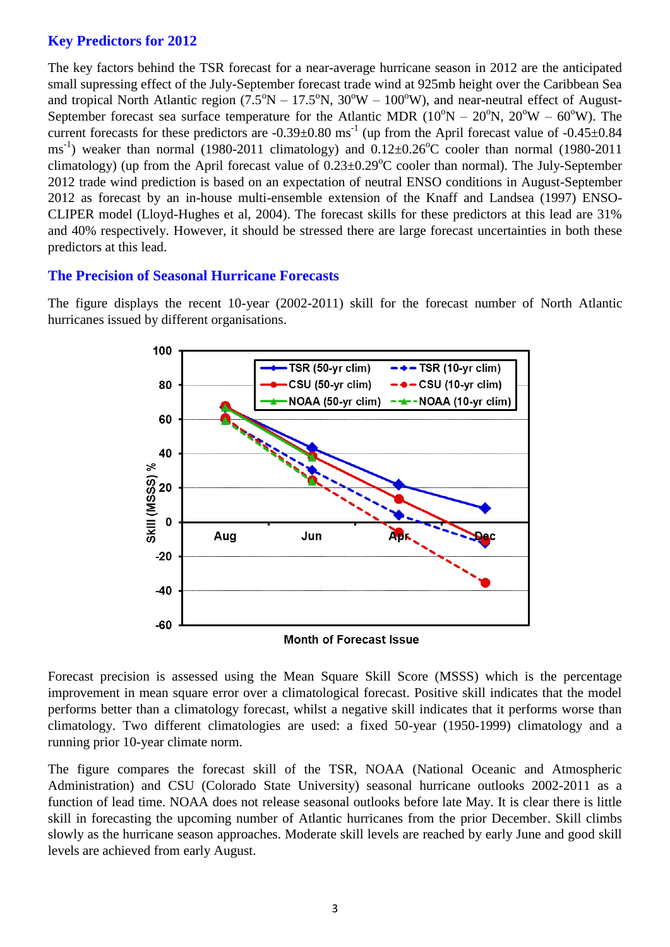#### **Key Predictors for 2012**

The key factors behind the TSR forecast for a near-average hurricane season in 2012 are the anticipated small supressing effect of the July-September forecast trade wind at 925mb height over the Caribbean Sea and tropical North Atlantic region  $(7.5^{\circ}N - 17.5^{\circ}N, 30^{\circ}W - 100^{\circ}W)$ , and near-neutral effect of August-September forecast sea surface temperature for the Atlantic MDR  $(10^{\circ}N - 20^{\circ}N, 20^{\circ}W - 60^{\circ}W)$ . The current forecasts for these predictors are  $-0.39\pm0.80$  ms<sup>-1</sup> (up from the April forecast value of  $-0.45\pm0.84$  $\text{ms}^{-1}$ ) weaker than normal (1980-2011 climatology) and  $0.12\pm0.26^{\circ}\text{C}$  cooler than normal (1980-2011 climatology) (up from the April forecast value of  $0.23\pm0.29^{\circ}$ C cooler than normal). The July-September 2012 trade wind prediction is based on an expectation of neutral ENSO conditions in August-September 2012 as forecast by an in-house multi-ensemble extension of the Knaff and Landsea (1997) ENSO-CLIPER model (Lloyd-Hughes et al, 2004). The forecast skills for these predictors at this lead are 31% and 40% respectively. However, it should be stressed there are large forecast uncertainties in both these predictors at this lead.

#### **The Precision of Seasonal Hurricane Forecasts**

The figure displays the recent 10-year (2002-2011) skill for the forecast number of North Atlantic hurricanes issued by different organisations.



**Month of Forecast Issue** 

Forecast precision is assessed using the Mean Square Skill Score (MSSS) which is the percentage improvement in mean square error over a climatological forecast. Positive skill indicates that the model performs better than a climatology forecast, whilst a negative skill indicates that it performs worse than climatology. Two different climatologies are used: a fixed 50-year (1950-1999) climatology and a running prior 10-year climate norm.

The figure compares the forecast skill of the TSR, NOAA (National Oceanic and Atmospheric Administration) and CSU (Colorado State University) seasonal hurricane outlooks 2002-2011 as a function of lead time. NOAA does not release seasonal outlooks before late May. It is clear there is little skill in forecasting the upcoming number of Atlantic hurricanes from the prior December. Skill climbs slowly as the hurricane season approaches. Moderate skill levels are reached by early June and good skill levels are achieved from early August.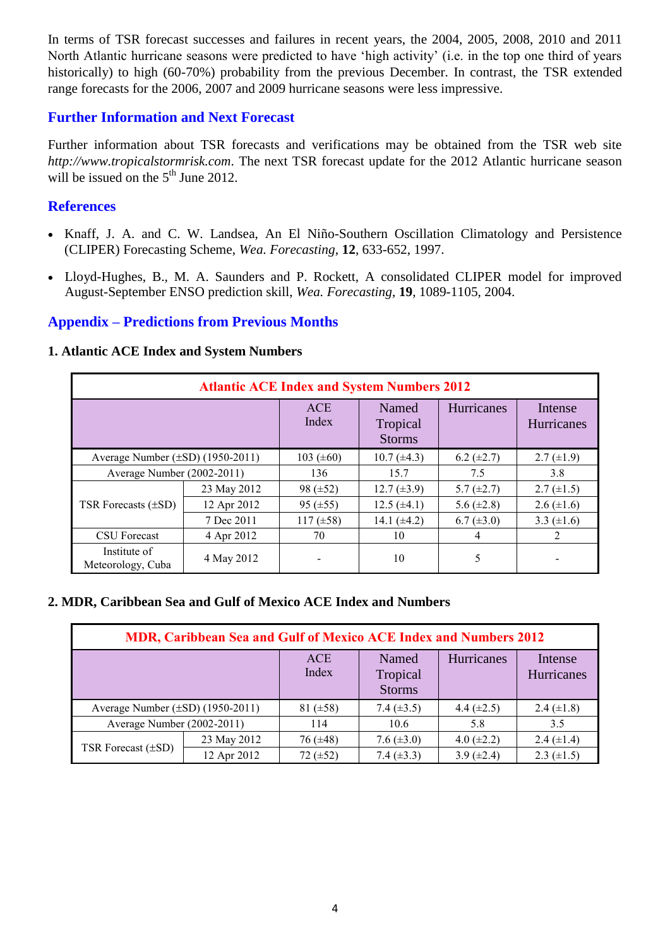In terms of TSR forecast successes and failures in recent years, the 2004, 2005, 2008, 2010 and 2011 North Atlantic hurricane seasons were predicted to have 'high activity' (i.e. in the top one third of years historically) to high (60-70%) probability from the previous December. In contrast, the TSR extended range forecasts for the 2006, 2007 and 2009 hurricane seasons were less impressive.

#### **Further Information and Next Forecast**

Further information about TSR forecasts and verifications may be obtained from the TSR web site *http://www.tropicalstormrisk.com*. The next TSR forecast update for the 2012 Atlantic hurricane season will be issued on the  $5<sup>th</sup>$  June 2012.

#### **References**

- Knaff, J. A. and C. W. Landsea, An El Niño-Southern Oscillation Climatology and Persistence (CLIPER) Forecasting Scheme, *Wea. Forecasting*, **12**, 633-652, 1997.
- [Lloyd-Hughes, B., M. A. Saunders and P. Rockett, A consolidated CLIPER model for improved](http://www.tropicalstormrisk.com/docs/Lloyd-Hughesetal2004.pdf)  [August-September ENSO prediction skill,](http://www.tropicalstormrisk.com/docs/Lloyd-Hughesetal2004.pdf) *Wea. Forecasting*, **19**, 1089-1105, 2004.

#### **Appendix – Predictions from Previous Months**

#### **1. Atlantic ACE Index and System Numbers**

| <b>Atlantic ACE Index and System Numbers 2012</b> |             |                     |                                    |                 |                       |  |  |
|---------------------------------------------------|-------------|---------------------|------------------------------------|-----------------|-----------------------|--|--|
|                                                   |             | <b>ACE</b><br>Index | Named<br>Tropical<br><b>Storms</b> | Hurricanes      | Intense<br>Hurricanes |  |  |
| Average Number $(\pm SD)$ (1950-2011)             |             | 103 $(\pm 60)$      | $10.7 (\pm 4.3)$                   | 6.2 $(\pm 2.7)$ | $2.7 \ (\pm 1.9)$     |  |  |
| Average Number (2002-2011)                        |             | 136                 | 15.7                               | 7.5             | 3.8                   |  |  |
| TSR Forecasts $(\pm SD)$                          | 23 May 2012 | 98 $(\pm 52)$       | $12.7 (\pm 3.9)$                   | 5.7 $(\pm 2.7)$ | $2.7 \ (\pm 1.5)$     |  |  |
|                                                   | 12 Apr 2012 | 95 $(\pm 55)$       | $12.5 (\pm 4.1)$                   | 5.6 $(\pm 2.8)$ | $2.6 (\pm 1.6)$       |  |  |
|                                                   | 7 Dec 2011  | $117 (\pm 58)$      | 14.1 $(\pm 4.2)$                   | $6.7 (\pm 3.0)$ | 3.3 $(\pm 1.6)$       |  |  |
| CSU Forecast                                      | 4 Apr 2012  | 70                  | 10                                 | 4               |                       |  |  |
| Institute of<br>Meteorology, Cuba                 | 4 May 2012  |                     | 10                                 | 5               |                       |  |  |

#### **2. MDR, Caribbean Sea and Gulf of Mexico ACE Index and Numbers**

| MDR, Caribbean Sea and Gulf of Mexico ACE Index and Numbers 2012 |             |                     |                                    |                   |                       |  |  |
|------------------------------------------------------------------|-------------|---------------------|------------------------------------|-------------------|-----------------------|--|--|
|                                                                  |             | <b>ACE</b><br>Index | Named<br>Tropical<br><b>Storms</b> | Hurricanes        | Intense<br>Hurricanes |  |  |
| Average Number $(\pm SD)$ (1950-2011)                            |             | 81 $(\pm 58)$       | 7.4 $(\pm 3.5)$                    | 4.4 $(\pm 2.5)$   | 2.4 $(\pm 1.8)$       |  |  |
| Average Number (2002-2011)                                       |             | 114                 | 10.6                               | 5.8               | 3.5                   |  |  |
| TSR Forecast $(\pm SD)$                                          | 23 May 2012 | $76 (\pm 48)$       | 7.6 $(\pm 3.0)$                    | 4.0 $(\pm 2.2)$   | 2.4 $(\pm 1.4)$       |  |  |
|                                                                  | 12 Apr 2012 | 72 $(\pm 52)$       | 7.4 $(\pm 3.3)$                    | $3.9 \ (\pm 2.4)$ | 2.3 $(\pm 1.5)$       |  |  |